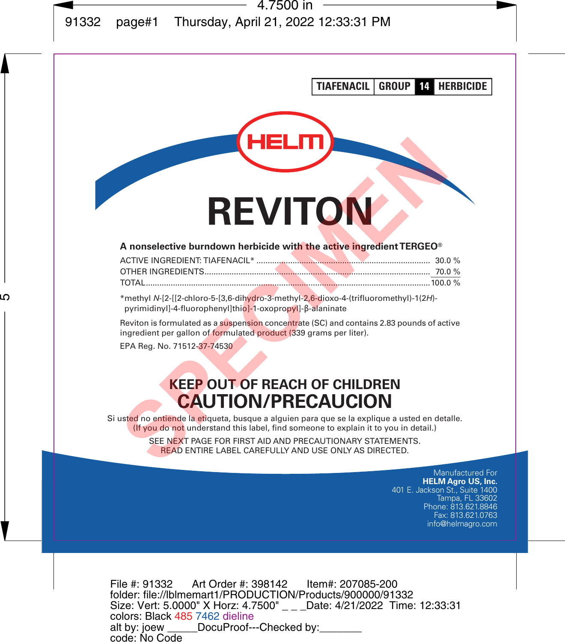**TIAFENACIL GROUP 14 HERBICIDE**

# **REVITON**

#### **A nonselective burndown herbicide with the active ingredient TERGEO®**

| 29 O N                                                                                                                                                                                                                                                                                                                        |
|-------------------------------------------------------------------------------------------------------------------------------------------------------------------------------------------------------------------------------------------------------------------------------------------------------------------------------|
| <b>REVITON</b>                                                                                                                                                                                                                                                                                                                |
| A nonselective burndown herbicide with the active ingredient TERGEO <sup>®</sup>                                                                                                                                                                                                                                              |
| TOTAL                                                                                                                                                                                                                                                                                                                         |
| *methyl N-[2-[[2-chloro-5-[3,6-dihydro-3-methyl-2,6-dioxo-4-(trifluoromethyl)-1(2H)-<br>pyrimidinyl]-4-fluorophenyl]thio]-1-oxopropyl]-B-alaninate                                                                                                                                                                            |
| Reviton is formulated as a suspension concentrate (SC) and contains 2.83 pounds of active<br>ingredient per gallon of formulated product (339 grams per liter).                                                                                                                                                               |
| EPA Reg. No. 71512-37-74530                                                                                                                                                                                                                                                                                                   |
| <b>KEEP OUT OF REACH OF CHILDREN</b><br><b>CAUTION/PRECAUCION</b>                                                                                                                                                                                                                                                             |
| ust <mark>ed</mark> no entiende la etiqueta, busque a alguien para que se la explique a usted en detalle.<br>(If you do not understand this label, find someone to explain it to you in detail.)<br>SEE NEXT PAGE FOR FIRST AID AND PRECAUTIONARY STATEMENTS.<br><b>READ ENTIRE LABEL CAREFULLY AND USE ONLY AS DIRECTED.</b> |

# **KEEP OUT OF REACH OF CHILDREN CAUTION/PRECAUCION**

> > Manufactured For **HELM Agro US, Inc.** 401 E. Jackson St., Suite 1400 Tampa, FL 33602 Phone: 813.621.8846 Fax: 813.621.0763 info@helmagro.com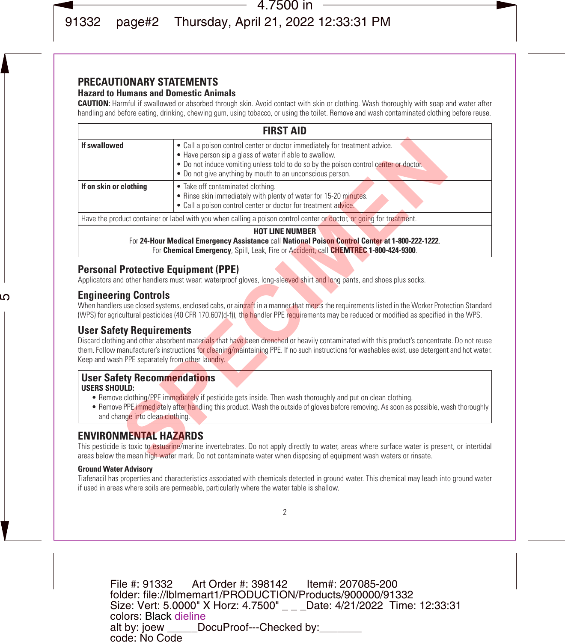# **PRECAUTIONARY STATEMENTS**

### **Hazard to Humans and Domestic Animals**

**CAUTION:** Harmful if swallowed or absorbed through skin. Avoid contact with skin or clothing. Wash thoroughly with soap and water after handling and before eating, drinking, chewing gum, using tobacco, or using the toilet. Remove and wash contaminated clothing before reuse.

|                                                                                               | <b>FIRST AID</b>                                                                                                                                                                                                                                                                                 |
|-----------------------------------------------------------------------------------------------|--------------------------------------------------------------------------------------------------------------------------------------------------------------------------------------------------------------------------------------------------------------------------------------------------|
| If swallowed                                                                                  | • Call a poison control center or doctor immediately for treatment advice.<br>. Have person sip a glass of water if able to swallow.<br>. Do not induce vomiting unless told to do so by the poison control center or doctor.<br>• Do not give anything by mouth to an unconscious person.       |
| If on skin or clothing                                                                        | • Take off contaminated clothing.<br>. Rinse skin immediately with plenty of water for 15-20 minutes.<br>• Call a poison control center or doctor for treatment advice.                                                                                                                          |
|                                                                                               | Have the product container or label with you when calling a poison control center or doctor, or going for treatment.                                                                                                                                                                             |
|                                                                                               | <b>HOT LINE NUMBER</b><br>For 24-Hour Medical Emergency Assistance call National Poison Control Center at 1-800-222-1222.<br>For Chemical Emergency, Spill, Leak, Fire or Accident, call CHEMTREC 1-800-424-9300.                                                                                |
| <b>Personal Protective Equipment (PPE)</b>                                                    | Applicators and other handlers must wear: waterproof gloves, long-sleeved shirt and long pants, and shoes plus socks.                                                                                                                                                                            |
| <b>Engineering Controls</b>                                                                   | When handlers use closed systems, enclosed cabs, or aircraft in a manner that meets the requirements listed in the Worker Protection Standard<br>(WPS) for agricultural pesticides (40 CFR 170.607(d-f)), the handler PPE requirements may be reduced or modified as specified in the WPS.       |
| <b>User Safety Requirements</b><br>Keep and wash PPE separately from other laundry.           | Discard clothing and other absorbent materials that have been drenched or heavily contaminated with this product's concentrate. Do not reuse<br>them. Follow manufacturer's instructions for cleaning/maintaining PPE. If no such instructions for washables exist, use detergent and hot water. |
| <b>User Safety Recommendations</b><br><b>USERS SHOULD:</b><br>and change into clean clothing. | . Remove clothing/PPE immediately if pesticide gets inside. Then wash thoroughly and put on clean clothing.<br>• Remove PPE immediately after handling this product. Wash the outside of gloves before removing. As soon as possible, wash thoroughly                                            |
| <b>ENVIRONMENTAL HAZARDS</b>                                                                  | This pesticide is toxic to estuarine/marine invertebrates. Do not apply directly to water, areas where surface water is present, or intertidal<br>areas below the mean high water mark. Do not contaminate water when disposing of equipment wash waters or rinsate.                             |

## **Personal Protective Equipment (PPE)**

## **Engineering Controls**

## **User Safety Requirements**

#### **User Safety Recommendations USERS SHOULD:**

- Remove clothing/PPE immediately if pesticide gets inside. Then wash thoroughly and put on clean clothing.
- Remove PPE immediately after handling this product. Wash the outside of gloves before removing. As soon as possible, wash thoroughly and change into clean clothing.

## **ENVIRONMENTAL HAZARDS**

#### **Ground Water Advisory**

Tiafenacil has properties and characteristics associated with chemicals detected in ground water. This chemical may leach into ground water if used in areas where soils are permeable, particularly where the water table is shallow.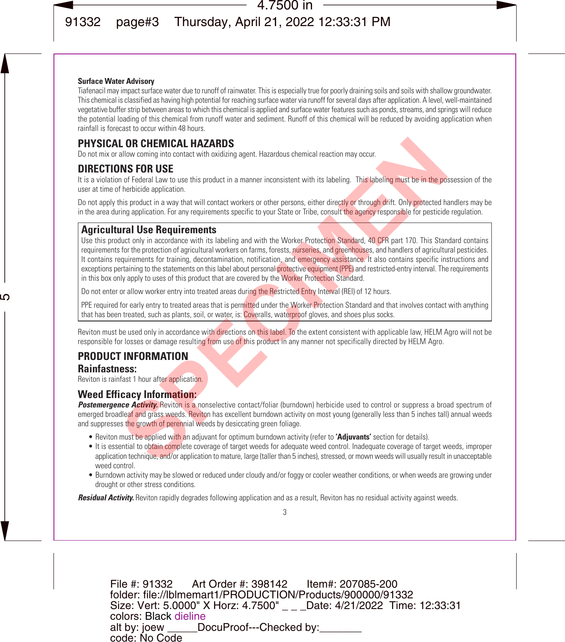#### **Surface Water Advisory**

Tiafenacil may impact surface water due to runoff of rainwater. This is especially true for poorly draining soils and soils with shallow groundwater. This chemical is classified as having high potential for reaching surface water via runoff for several days after application. A level, well-maintained vegetative buffer strip between areas to which this chemical is applied and surface water features such as ponds, streams, and springs will reduce the potential loading of this chemical from runoff water and sediment. Runoff of this chemical will be reduced by avoiding application when rainfall is forecast to occur within 48 hours.

## **PHYSICAL OR CHEMICAL HAZARDS**

Do not mix or allow coming into contact with oxidizing agent. Hazardous chemical reaction may occur.

## **DIRECTIONS FOR USE**

It is a violation of Federal Law to use this product in a manner inconsistent with its labeling. This labeling must be in the possession of the user at time of herbicide application.

Do not apply this product in a way that will contact workers or other persons, either directly or through drift. Only protected handlers may be in the area during application. For any requirements specific to your State or Tribe, consult the agency responsible for pesticide regulation.

## **Agricultural Use Requirements**

Use this product only in accordance with its labeling and with the Worker Protection Standard, 40 CFR part 170. This Standard contains requirements for the protection of agricultural workers on farms, forests, nurseries, and greenhouses, and handlers of agricultural pesticides. It contains requirements for training, decontamination, notification, and emergency assistance. It also contains specific instructions and exceptions pertaining to the statements on this label about personal protective equipment (PPE) and restricted-entry interval. The requirements in this box only apply to uses of this product that are covered by the Worker Protection Standard. **L. OR CHEMICAL HAZARDS**<br>allow coming into concate with oxidizing agent. Hazardous chemical reaction may occur.<br>**SINS FOR USE**<br>**INS FOR USE**<br>of the formation concate with oxidizing agent. Hazardous chemical reaction may co

Do not enter or allow worker entry into treated areas during the Restricted Entry Interval (REI) of 12 hours.

PPE required for early entry to treated areas that is permitted under the Worker Protection Standard and that involves contact with anything that has been treated, such as plants, soil, or water, is: Coveralls, waterproof gloves, and shoes plus socks.

Reviton must be used only in accordance with directions on this label. To the extent consistent with applicable law, HELM Agro will not be responsible for losses or damage resulting from use of this product in any manner not specifically directed by HELM Agro.

## **PRODUCT INFORMATION**

## **Rainfastness:**

Reviton is rainfast 1 hour after application.

## **Weed Efficacy Information:**

**Postemergence Activity.** Reviton is a nonselective contact/foliar (burndown) herbicide used to control or suppress a broad spectrum of emerged broadleaf and grass weeds. Reviton has excellent burndown activity on most young (generally less than 5 inches tall) annual weeds and suppresses the growth of perennial weeds by desiccating green foliage.

- Reviton must be applied with an adjuvant for optimum burndown activity (refer to **'Adjuvants'** section for details).
- It is essential to obtain complete coverage of target weeds for adequate weed control. Inadequate coverage of target weeds, improper application technique, and/or application to mature, large (taller than 5 inches), stressed, or mown weeds will usually result in unacceptable weed control.
- Burndown activity may be slowed or reduced under cloudy and/or foggy or cooler weather conditions, or when weeds are growing under drought or other stress conditions.

*Residual Activity.* Reviton rapidly degrades following application and as a result, Reviton has no residual activity against weeds.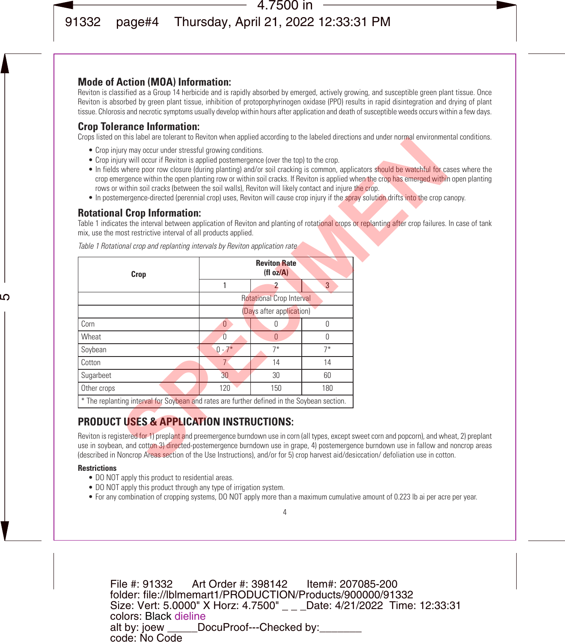## **Mode of Action (MOA) Information:**

Reviton is classified as a Group 14 herbicide and is rapidly absorbed by emerged, actively growing, and susceptible green plant tissue. Once Reviton is absorbed by green plant tissue, inhibition of protoporphyrinogen oxidase (PPO) results in rapid disintegration and drying of plant tissue. Chlorosis and necrotic symptoms usually develop within hours after application and death of susceptible weeds occurs within a few days.

## **Crop Tolerance Information:**

Crops listed on this label are tolerant to Reviton when applied according to the labeled directions and under normal environmental conditions.

- Crop injury may occur under stressful growing conditions.
- Crop injury will occur if Reviton is applied postemergence (over the top) to the crop.
- In fields where poor row closure (during planting) and/or soil cracking is common, applicators should be watchful for cases where the crop emergence within the open planting row or within soil cracks. If Reviton is applied when the crop has emerged within open planting rows or within soil cracks (between the soil walls), Reviton will likely contact and injure the crop.
- In postemergence-directed (perennial crop) uses, Reviton will cause crop injury if the spray solution drifts into the crop canopy.

## **Rotational Crop Information:**

Table 1 indicates the interval between application of Reviton and planting of rotational crops or replanting after crop failures. In case of tank mix, use the most restrictive interval of all products applied.

| <u>Crops insted on this label are tolerant to neviton when applied according to the labeled directions and under nominal environmen</u>                                                                                                                                                                                                                                                                                                                                                                                                                                                                                                                       |                |                                 |                |  |
|---------------------------------------------------------------------------------------------------------------------------------------------------------------------------------------------------------------------------------------------------------------------------------------------------------------------------------------------------------------------------------------------------------------------------------------------------------------------------------------------------------------------------------------------------------------------------------------------------------------------------------------------------------------|----------------|---------------------------------|----------------|--|
| • Crop injury may occur under stressful growing conditions.<br>• Crop injury will occur if Reviton is applied postemergence (over the top) to the crop.<br>• In fields where poor row closure (during planting) and/or soil cracking is common, applicators should be watchful for ca<br>crop emergence within the open planting row or within soil cracks. If Reviton is applied when the crop has emerged within<br>rows or within soil cracks (between the soil walls), Reviton will likely contact and injure the crop.<br>• In postemergence-directed (perennial crop) uses, Reviton will cause crop injury if the spray solution drifts into the crop c |                |                                 |                |  |
| <b>Rotational Crop Information:</b>                                                                                                                                                                                                                                                                                                                                                                                                                                                                                                                                                                                                                           |                |                                 |                |  |
| Table 1 indicates the interval between application of Reviton and planting of rotational crops or replanting after crop failures.<br>mix, use the most restrictive interval of all products applied.                                                                                                                                                                                                                                                                                                                                                                                                                                                          |                |                                 |                |  |
| Table 1 Rotational crop and replanting intervals by Reviton application rate                                                                                                                                                                                                                                                                                                                                                                                                                                                                                                                                                                                  |                |                                 |                |  |
| Crop                                                                                                                                                                                                                                                                                                                                                                                                                                                                                                                                                                                                                                                          |                | <b>Reviton Rate</b><br>(H oz/A) |                |  |
|                                                                                                                                                                                                                                                                                                                                                                                                                                                                                                                                                                                                                                                               | 1              | $\overline{2}$                  | $\overline{3}$ |  |
|                                                                                                                                                                                                                                                                                                                                                                                                                                                                                                                                                                                                                                                               |                | <b>Rotational Crop Interval</b> |                |  |
|                                                                                                                                                                                                                                                                                                                                                                                                                                                                                                                                                                                                                                                               |                | (Days after application)        |                |  |
| Corn                                                                                                                                                                                                                                                                                                                                                                                                                                                                                                                                                                                                                                                          | $\mathbf{0}$   | $\Omega$                        | $\Omega$       |  |
| Wheat                                                                                                                                                                                                                                                                                                                                                                                                                                                                                                                                                                                                                                                         | $\overline{0}$ | $\Omega$                        | $\Omega$       |  |
| Soybean                                                                                                                                                                                                                                                                                                                                                                                                                                                                                                                                                                                                                                                       | $0 - 7*$       | $7*$                            | $7*$           |  |
| Cotton                                                                                                                                                                                                                                                                                                                                                                                                                                                                                                                                                                                                                                                        | 7 <sup>°</sup> | 14                              | 14             |  |
| Sugarbeet                                                                                                                                                                                                                                                                                                                                                                                                                                                                                                                                                                                                                                                     | 30             | 30                              | 60             |  |
| Other crops                                                                                                                                                                                                                                                                                                                                                                                                                                                                                                                                                                                                                                                   | 120            | 150                             | 180            |  |
| * The replanting interval for Soybean and rates are further defined in the Soybean section.                                                                                                                                                                                                                                                                                                                                                                                                                                                                                                                                                                   |                |                                 |                |  |
| <b>PRODUCT USES &amp; APPLICATION INSTRUCTIONS:</b>                                                                                                                                                                                                                                                                                                                                                                                                                                                                                                                                                                                                           |                |                                 |                |  |
| Reviton is registered for 1) preplant and preemergence burndown use in corn (all types, except sweet corn and popcorn), and wh<br>use in soybean, and cotton 3) directed-postemergence burndown use in grape, 4) postemergence burndown use in fallow and<br>(described in Noncrop Areas section of the Use Instructions), and/or for 5) crop harvest aid/desiccation/ defoliation use in cott                                                                                                                                                                                                                                                                |                |                                 |                |  |
|                                                                                                                                                                                                                                                                                                                                                                                                                                                                                                                                                                                                                                                               |                |                                 |                |  |

## **PRODUCT USES & APPLICATION INSTRUCTIONS:**

Reviton is registered for 1) preplant and preemergence burndown use in corn (all types, except sweet corn and popcorn), and wheat, 2) preplant use in soybean, and cotton 3) directed-postemergence burndown use in grape, 4) postemergence burndown use in fallow and noncrop areas (described in Noncrop Areas section of the Use Instructions), and/or for 5) crop harvest aid/desiccation/ defoliation use in cotton.

#### **Restrictions**

- DO NOT apply this product to residential areas.
- DO NOT apply this product through any type of irrigation system.
- For any combination of cropping systems, DO NOT apply more than a maximum cumulative amount of 0.223 lb ai per acre per year.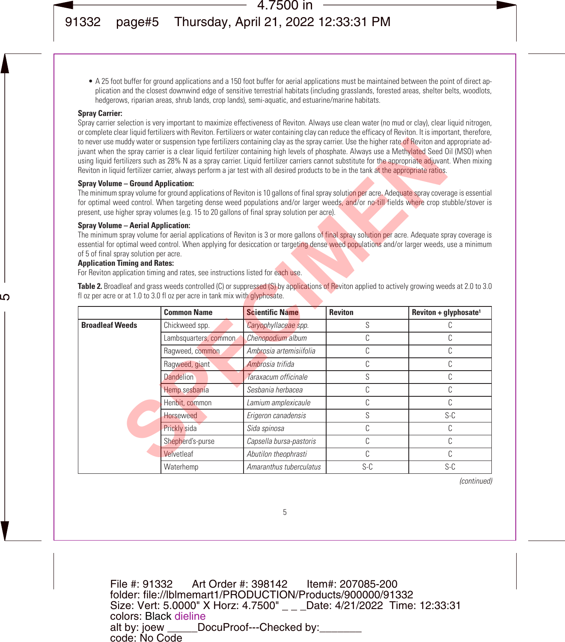• A 25 foot buffer for ground applications and a 150 foot buffer for aerial applications must be maintained between the point of direct application and the closest downwind edge of sensitive terrestrial habitats (including grasslands, forested areas, shelter belts, woodlots, hedgerows, riparian areas, shrub lands, crop lands), semi-aquatic, and estuarine/marine habitats.

#### **Spray Carrier:**

Spray carrier selection is very important to maximize effectiveness of Reviton. Always use clean water (no mud or clay), clear liquid nitrogen, or complete clear liquid fertilizers with Reviton. Fertilizers or water containing clay can reduce the efficacy of Reviton. It is important, therefore, to never use muddy water or suspension type fertilizers containing clay as the spray carrier. Use the higher rate of Reviton and appropriate adjuvant when the spray carrier is a clear liquid fertilizer containing high levels of phosphate. Always use a Methylated Seed Oil (MSO) when using liquid fertilizers such as 28% N as a spray carrier. Liquid fertilizer carriers cannot substitute for the appropriate adjuvant. When mixing Reviton in liquid fertilizer carrier, always perform a jar test with all desired products to be in the tank at the appropriate ratios.

#### **Spray Volume – Ground Application:**

#### **Spray Volume – Aerial Application:**

#### **Application Timing and Rates:**

|                                                                                                                             | Reviton in liquid fertilizer carrier, always perform a jar test with all desired products to be in the tank at the appropriate ratios.                                                                                                                                                                                                                                                                                                                                                                                                                                                                                |                         |                | to never use muddy water or suspension type fertilizers containing clay as the spray carrier. Use the higher rate of Reviton and appropriate ad-<br>juvant when the spray carrier is a clear liquid fertilizer containing high levels of phosphate. Always use a Methylated Seed Oil (MSO) when<br>using liquid fertilizers such as 28% N as a spray carrier. Liquid fertilizer carriers cannot substitute for the appropriate adjuvant. When mixing |
|-----------------------------------------------------------------------------------------------------------------------------|-----------------------------------------------------------------------------------------------------------------------------------------------------------------------------------------------------------------------------------------------------------------------------------------------------------------------------------------------------------------------------------------------------------------------------------------------------------------------------------------------------------------------------------------------------------------------------------------------------------------------|-------------------------|----------------|------------------------------------------------------------------------------------------------------------------------------------------------------------------------------------------------------------------------------------------------------------------------------------------------------------------------------------------------------------------------------------------------------------------------------------------------------|
| <b>Spray Volume - Ground Application:</b>                                                                                   | The minimum spray volume for ground applications of Reviton is 10 gallons of final spray solution per acre. Adequate spray coverage is essential<br>for optimal weed control. When targeting dense weed populations and/or larger weeds, and/or no-till fields where crop stubble/stover is<br>present, use higher spray volumes (e.g. 15 to 20 gallons of final spray solution per acre).                                                                                                                                                                                                                            |                         |                |                                                                                                                                                                                                                                                                                                                                                                                                                                                      |
| <b>Spray Volume - Aerial Application:</b><br>of 5 of final spray solution per acre.<br><b>Application Timing and Rates:</b> | The minimum spray volume for aerial applications of Reviton is 3 or more gallons of final spray solution per acre. Adequate spray coverage is<br>essential for optimal weed control. When applying for desiccation or targeting dense weed populations and/or larger weeds, use a minimum<br>For Reviton application timing and rates, see instructions listed for each use.<br>Table 2. Broadleaf and grass weeds controlled (C) or suppressed (S) by applications of Reviton applied to actively growing weeds at 2.0 to 3.0<br>fl oz per acre or at 1.0 to 3.0 fl oz per acre in tank mix with <i>qlyphosate</i> . |                         |                |                                                                                                                                                                                                                                                                                                                                                                                                                                                      |
|                                                                                                                             |                                                                                                                                                                                                                                                                                                                                                                                                                                                                                                                                                                                                                       |                         |                |                                                                                                                                                                                                                                                                                                                                                                                                                                                      |
|                                                                                                                             | <b>Common Name</b>                                                                                                                                                                                                                                                                                                                                                                                                                                                                                                                                                                                                    | <b>Scientific Name</b>  | <b>Reviton</b> | Reviton + glyphosate <sup>1</sup>                                                                                                                                                                                                                                                                                                                                                                                                                    |
| <b>Broadleaf Weeds</b>                                                                                                      | Chickweed spp.                                                                                                                                                                                                                                                                                                                                                                                                                                                                                                                                                                                                        | Caryophyllaceae spp.    | S              | C                                                                                                                                                                                                                                                                                                                                                                                                                                                    |
|                                                                                                                             | Lambsquarters, common.                                                                                                                                                                                                                                                                                                                                                                                                                                                                                                                                                                                                | Chenopodium album       | C              | C                                                                                                                                                                                                                                                                                                                                                                                                                                                    |
|                                                                                                                             | Ragweed, common                                                                                                                                                                                                                                                                                                                                                                                                                                                                                                                                                                                                       | Ambrosia artemisiifolia | C              | C                                                                                                                                                                                                                                                                                                                                                                                                                                                    |
|                                                                                                                             | Ragweed, giant                                                                                                                                                                                                                                                                                                                                                                                                                                                                                                                                                                                                        | Ambrosia trifida        | C              | C                                                                                                                                                                                                                                                                                                                                                                                                                                                    |
|                                                                                                                             | Dandelion                                                                                                                                                                                                                                                                                                                                                                                                                                                                                                                                                                                                             | Taraxacum officinale    | S              | C                                                                                                                                                                                                                                                                                                                                                                                                                                                    |
|                                                                                                                             | Hemp sesbania                                                                                                                                                                                                                                                                                                                                                                                                                                                                                                                                                                                                         | Sesbania herbacea       | C              | C                                                                                                                                                                                                                                                                                                                                                                                                                                                    |
|                                                                                                                             | Henbit, common                                                                                                                                                                                                                                                                                                                                                                                                                                                                                                                                                                                                        | Lamium amplexicaule     | C              | C                                                                                                                                                                                                                                                                                                                                                                                                                                                    |
|                                                                                                                             | <b>Horseweed</b>                                                                                                                                                                                                                                                                                                                                                                                                                                                                                                                                                                                                      | Erigeron canadensis     | S              | $S-C$                                                                                                                                                                                                                                                                                                                                                                                                                                                |
|                                                                                                                             | Prickly sida                                                                                                                                                                                                                                                                                                                                                                                                                                                                                                                                                                                                          | Sida spinosa            | C              | C                                                                                                                                                                                                                                                                                                                                                                                                                                                    |
|                                                                                                                             | Shepherd's-purse                                                                                                                                                                                                                                                                                                                                                                                                                                                                                                                                                                                                      | Capsella bursa-pastoris | C              | C                                                                                                                                                                                                                                                                                                                                                                                                                                                    |
|                                                                                                                             | Velvetleaf                                                                                                                                                                                                                                                                                                                                                                                                                                                                                                                                                                                                            | Abutilon theophrasti    | C              | C<br>$S-C$                                                                                                                                                                                                                                                                                                                                                                                                                                           |

*(continued)*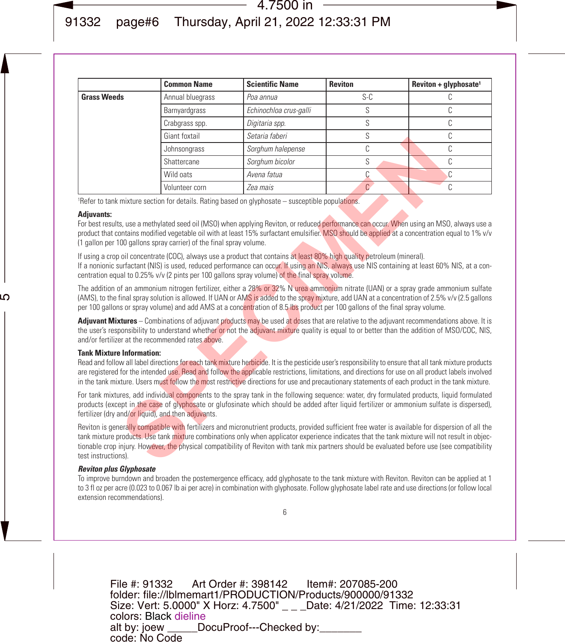|                                                                                                                                                                                                                                                                                                                                                                                                                                                                                                                                                                                                                                                                                                                                                                                                       | <b>Common Name</b> | <b>Scientific Name</b> | <b>Reviton</b> | $Review + qlyphosate1$ |  |
|-------------------------------------------------------------------------------------------------------------------------------------------------------------------------------------------------------------------------------------------------------------------------------------------------------------------------------------------------------------------------------------------------------------------------------------------------------------------------------------------------------------------------------------------------------------------------------------------------------------------------------------------------------------------------------------------------------------------------------------------------------------------------------------------------------|--------------------|------------------------|----------------|------------------------|--|
| <b>Grass Weeds</b>                                                                                                                                                                                                                                                                                                                                                                                                                                                                                                                                                                                                                                                                                                                                                                                    | Annual bluegrass   | Poa annua              | $S-C$          | C                      |  |
|                                                                                                                                                                                                                                                                                                                                                                                                                                                                                                                                                                                                                                                                                                                                                                                                       | Barnyardgrass      | Echinochloa crus-galli | S              | C                      |  |
|                                                                                                                                                                                                                                                                                                                                                                                                                                                                                                                                                                                                                                                                                                                                                                                                       | Crabgrass spp.     | Digitaria spp.         | S              | C                      |  |
|                                                                                                                                                                                                                                                                                                                                                                                                                                                                                                                                                                                                                                                                                                                                                                                                       | Giant foxtail      | Setaria faheri         | S              | C                      |  |
|                                                                                                                                                                                                                                                                                                                                                                                                                                                                                                                                                                                                                                                                                                                                                                                                       | Johnsongrass       | Sorghum halepense      | C              | C                      |  |
|                                                                                                                                                                                                                                                                                                                                                                                                                                                                                                                                                                                                                                                                                                                                                                                                       | Shattercane        | Sorghum bicolor        | S              | C                      |  |
|                                                                                                                                                                                                                                                                                                                                                                                                                                                                                                                                                                                                                                                                                                                                                                                                       | Wild oats          | Avena fatua            | С              | C                      |  |
|                                                                                                                                                                                                                                                                                                                                                                                                                                                                                                                                                                                                                                                                                                                                                                                                       | Volunteer corn     | Zea mais               | $\mathbb{C}^2$ | C                      |  |
| <sup>1</sup> Refer to tank mixture section for details. Rating based on glyphosate – susceptible populations.                                                                                                                                                                                                                                                                                                                                                                                                                                                                                                                                                                                                                                                                                         |                    |                        |                |                        |  |
| product that contains modified vegetable oil with at least 15% surfactant emulsifier. MSO should be applied at a concentration equal to 1% v/v<br>(1 gallon per 100 gallons spray carrier) of the final spray volume.<br>If using a crop oil concentrate (COC), always use a product that contains at least 80% high quality petroleum (mineral).<br>If a nonionic surfactant (NIS) is used, reduced performance can occur. If using an NIS, always use NIS containing at least 60% NIS, at a con-<br>centration equal to 0.25% v/v (2 pints per 100 gallons spray volume) of the final spray volume.                                                                                                                                                                                                 |                    |                        |                |                        |  |
| The addition of an ammonium nitrogen fertilizer, either a 28% or 32% N urea ammonium nitrate (UAN) or a spray grade ammonium sulfate<br>(AMS), to the final spray solution is allowed. If UAN or AMS is added to the spray mixture, add UAN at a concentration of 2.5% v/v (2.5 gallons<br>per 100 gallons or spray volume) and add AMS at a concentration of 8.5 lbs product per 100 gallons of the final spray volume.                                                                                                                                                                                                                                                                                                                                                                              |                    |                        |                |                        |  |
| Adjuvant Mixtures – Combinations of adjuvant products may be used at doses that are relative to the adjuvant recommendations above. It is<br>the user's responsibility to understand whether or not the adjuvant mixture quality is equal to or better than the addition of MSO/COC, NIS,<br>and/or fertilizer at the recommended rates above.                                                                                                                                                                                                                                                                                                                                                                                                                                                        |                    |                        |                |                        |  |
| <b>Tank Mixture Information:</b><br>Read and follow all label directions for each tank mixture herbicide. It is the pesticide user's responsibility to ensure that all tank mixture products<br>are registered for the intended use. Read and follow the applicable restrictions, limitations, and directions for use on all product labels involved<br>in the tank mixture. Users must follow the most restrictive directions for use and precautionary statements of each product in the tank mixture.<br>For tank mixtures, add individual components to the spray tank in the following sequence: water, dry formulated products, liquid formulated<br>products (except in the case of glyphosate or glufosinate which should be added after liquid fertilizer or ammonium sulfate is dispersed), |                    |                        |                |                        |  |
| fertilizer (dry and/or liquid), and then adjuvants.<br>Reviton is generally compatible with fertilizers and micronutrient products, provided sufficient free water is available for dispersion of all the<br>tank mixture products. Use tank mixture combinations only when applicator experience indicates that the tank mixture will not result in objec-<br>tionable crop injury. However, the physical compatibility of Reviton with tank mix partners should be evaluated before use (see compatibility<br>test instructions).                                                                                                                                                                                                                                                                   |                    |                        |                |                        |  |

#### **Adjuvants:**

#### **Tank Mixture Information:**

#### *Reviton plus Glyphosate*

To improve burndown and broaden the postemergence efficacy, add glyphosate to the tank mixture with Reviton. Reviton can be applied at 1 to 3 fl oz per acre (0.023 to 0.067 lb ai per acre) in combination with glyphosate. Follow glyphosate label rate and use directions (or follow local extension recommendations).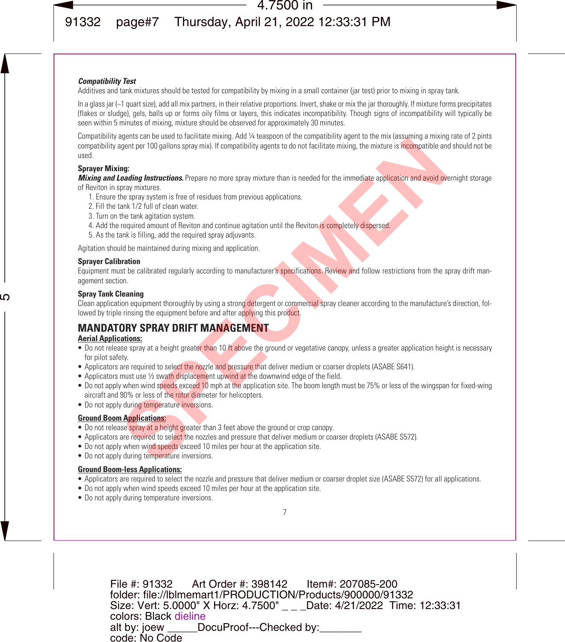#### *Compatibility Test*

Additives and tank mixtures should be tested for compatibility by mixing in a small container (jar test) prior to mixing in spray tank.

In a glass jar (~1 quart size), add all mix partners, in their relative proportions, Invert, shake or mix the jar thoroughly. If mixture forms precipitates (flakes or sludge), gels, balls up or forms oily films or layers, this indicates incompatibility. Though signs of incompatibility will typically be seen within 5 minutes of mixing, mixture should be observed for approximately 30 minutes.

Compatibility agents can be used to facilitate mixing. Add ¼ teaspoon of the compatibility agent to the mix (assuming a mixing rate of 2 pints compatibility agent per 100 gallons spray mix). If compatibility agents to do not facilitate mixing, the mixture is incompatible and should not be used. dignation of the distance in more spray and vice-spread of the distance of the membership of the membership and the spread of the interactions, the mixture is the smort scheme of the smorth of the smorth of the smorth of t

#### **Sprayer Mixing:**

*Mixing and Loading Instructions.* Prepare no more spray mixture than is needed for the immediate application and avoid overnight storage

of Reviton in spray mixtures.

- 1. Ensure the spray system is free of residues from previous applications.
- 2. Fill the tank 1/2 full of clean water.
- 3. Turn on the tank agitation system.
- 4. Add the required amount of Reviton and continue agitation until the Reviton is completely dispersed.
- 5. As the tank is filling, add the required spray adjuvants.

Agitation should be maintained during mixing and application.

#### **Sprayer Calibration**

Equipment must be calibrated regularly according to manufacturer's specifications. Review and follow restrictions from the spray drift management section.

#### **Spray Tank Cleaning**

Clean application equipment thoroughly by using a strong detergent or commercial spray cleaner according to the manufacture's direction, followed by triple rinsing the equipment before and after applying this product.

## **MANDATORY SPRAY DRIFT MANAGEMENT**

#### **Aerial Applications:**

- Do not release spray at a height greater than 10 ft above the ground or vegetative canopy, unless a greater application height is necessary for pilot safety.
- Applicators are required to select the nozzle and pressure that deliver medium or coarser droplets (ASABE S641).
- Applicators must use 1/2 swath displacement upwind at the downwind edge of the field.
- Do not apply when wind speeds exceed 10 mph at the application site. The boom length must be 75% or less of the wingspan for fixed-wing aircraft and 90% or less of the rotor diameter for helicopters.
- Do not apply during temperature inversions.

#### **Ground Boom Applications:**

- Do not release spray at a height greater than 3 feet above the ground or crop canopy.
- Applicators are required to select the nozzles and pressure that deliver medium or coarser droplets (ASABE S572).
- Do not apply when wind speeds exceed 10 miles per hour at the application site.
- Do not apply during temperature inversions.

#### **Ground Boom-less Applications:**

- Applicators are required to select the nozzle and pressure that deliver medium or coarser droplet size (ASABE S572) for all applications.
- Do not apply when wind speeds exceed 10 miles per hour at the application site.
- Do not apply during temperature inversions.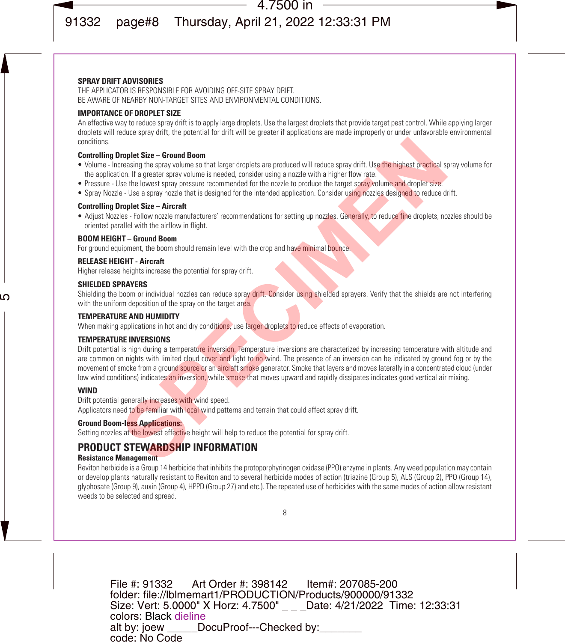#### **SPRAY DRIFT ADVISORIES**

THE APPLICATOR IS RESPONSIBLE FOR AVOIDING OFF-SITE SPRAY DRIFT. BE AWARE OF NEARBY NON-TARGET SITES AND ENVIRONMENTAL CONDITIONS.

#### **IMPORTANCE OF DROPLET SIZE**

An effective way to reduce spray drift is to apply large droplets. Use the largest droplets that provide target pest control. While applying larger droplets will reduce spray drift, the potential for drift will be greater if applications are made improperly or under unfavorable environmental conditions.

#### **Controlling Droplet Size – Ground Boom**

- Volume Increasing the spray volume so that larger droplets are produced will reduce spray drift. Use the highest practical spray volume for the application. If a greater spray volume is needed, consider using a nozzle with a higher flow rate.
- Pressure Use the lowest spray pressure recommended for the nozzle to produce the target spray volume and droplet size.
- Spray Nozzle Use a spray nozzle that is designed for the intended application. Consider using nozzles designed to reduce drift.

#### **Controlling Droplet Size – Aircraft**

• Adjust Nozzles - Follow nozzle manufacturers' recommendations for setting up nozzles. Generally, to reduce fine droplets, nozzles should be oriented parallel with the airflow in flight.

#### **BOOM HEIGHT – Ground Boom**

For ground equipment, the boom should remain level with the crop and have minimal bounce.

#### **RELEASE HEIGHT - Aircraft**

Higher release heights increase the potential for spray drift.

#### **SHIELDED SPRAYERS**

Shielding the boom or individual nozzles can reduce spray drift. Consider using shielded sprayers. Verify that the shields are not interfering with the uniform deposition of the spray on the target area.

#### **TEMPERATURE AND HUMIDITY**

When making applications in hot and dry conditions, use larger droplets to reduce effects of evaporation.

#### **TEMPERATURE INVERSIONS**

Drift potential is high during a temperature inversion. Temperature inversions are characterized by increasing temperature with altitude and are common on nights with limited cloud cover and light to no wind. The presence of an inversion can be indicated by ground fog or by the movement of smoke from a ground source or an aircraft smoke generator. Smoke that layers and moves laterally in a concentrated cloud (under low wind conditions) indicates an inversion, while smoke that moves upward and rapidly dissipates indicates good vertical air mixing. **Examples Size – Ground Boom**<br>
Screening the spray volume so that larger droplets are produced will reduce spray drift. Use the highest practical size<br>
See the lowest spray wolume is needed, consider using a nozzle with a

#### **WIND**

Drift potential generally increases with wind speed. Applicators need to be familiar with local wind patterns and terrain that could affect spray drift.

#### **Ground Boom-less Applications:**

Setting nozzles at the lowest effective height will help to reduce the potential for spray drift.

## **PRODUCT STEWARDSHIP INFORMATION**

#### **Resistance Management**

Reviton herbicide is a Group 14 herbicide that inhibits the protoporphyrinogen oxidase (PPO) enzyme in plants. Any weed population may contain or develop plants naturally resistant to Reviton and to several herbicide modes of action (triazine (Group 5), ALS (Group 2), PPO (Group 14), glyphosate (Group 9), auxin (Group 4), HPPD (Group 27) and etc.). The repeated use of herbicides with the same modes of action allow resistant weeds to be selected and spread.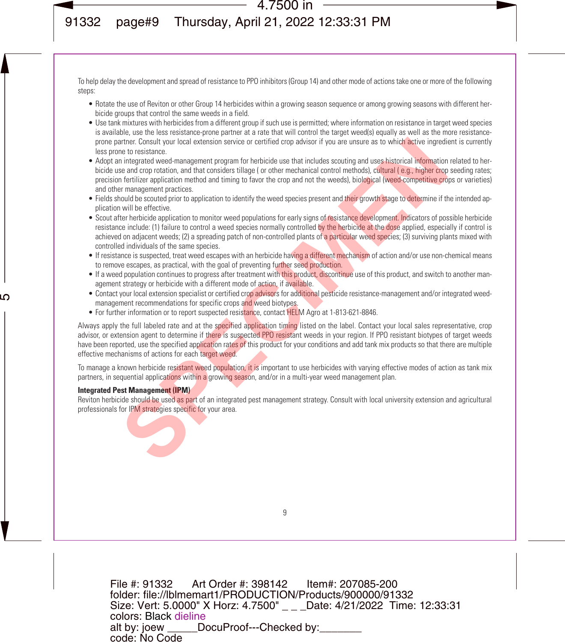To help delay the development and spread of resistance to PPO inhibitors (Group 14) and other mode of actions take one or more of the following steps:

- Rotate the use of Reviton or other Group 14 herbicides within a growing season sequence or among growing seasons with different herbicide groups that control the same weeds in a field.
- Use tank mixtures with herbicides from a different group if such use is permitted; where information on resistance in target weed species is available, use the less resistance-prone partner at a rate that will control the target weed(s) equally as well as the more resistanceprone partner. Consult your local extension service or certified crop advisor if you are unsure as to which active ingredient is currently less prone to resistance.
- Adopt an integrated weed-management program for herbicide use that includes scouting and uses historical information related to herbicide use and crop rotation, and that considers tillage (or other mechanical control methods), cultural (e.g., higher crop seeding rates; precision fertilizer application method and timing to favor the crop and not the weeds), biological (weed-competitive crops or varieties) and other management practices. artner. Consult your local extension service or certified crop advisor if you are unsure as to which active ingredient to restrain the consult you are the three consults in the consults of the case and conjointation in the
- Fields should be scouted prior to application to identify the weed species present and their growth stage to determine if the intended application will be effective.
- Scout after herbicide application to monitor weed populations for early signs of resistance development. Indicators of possible herbicide resistance include: (1) failure to control a weed species normally controlled by the herbicide at the dose applied, especially if control is achieved on adjacent weeds; (2) a spreading patch of non-controlled plants of a particular weed species; (3) surviving plants mixed with controlled individuals of the same species.
- If resistance is suspected, treat weed escapes with an herbicide having a different mechanism of action and/or use non-chemical means to remove escapes, as practical, with the goal of preventing further seed production.
- If a weed population continues to progress after treatment with this product, discontinue use of this product, and switch to another management strategy or herbicide with a different mode of action, if available.
- Contact your local extension specialist or certified crop advisors for additional pesticide resistance-management and/or integrated weedmanagement recommendations for specific crops and weed biotypes.
- For further information or to report suspected resistance, contact HELM Agro at 1-813-621-8846.

Always apply the full labeled rate and at the specified application timing listed on the label. Contact your local sales representative, crop advisor, or extension agent to determine if there is suspected PPO resistant weeds in your region. If PPO resistant biotypes of target weeds have been reported, use the specified application rates of this product for your conditions and add tank mix products so that there are multiple effective mechanisms of actions for each target weed.

To manage a known herbicide resistant weed population, it is important to use herbicides with varying effective modes of action as tank mix partners, in sequential applications within a growing season, and/or in a multi-year weed management plan.

#### **Integrated Pest Management (IPM)**

Reviton herbicide should be used as part of an integrated pest management strategy. Consult with local university extension and agricultural professionals for IPM strategies specific for your area.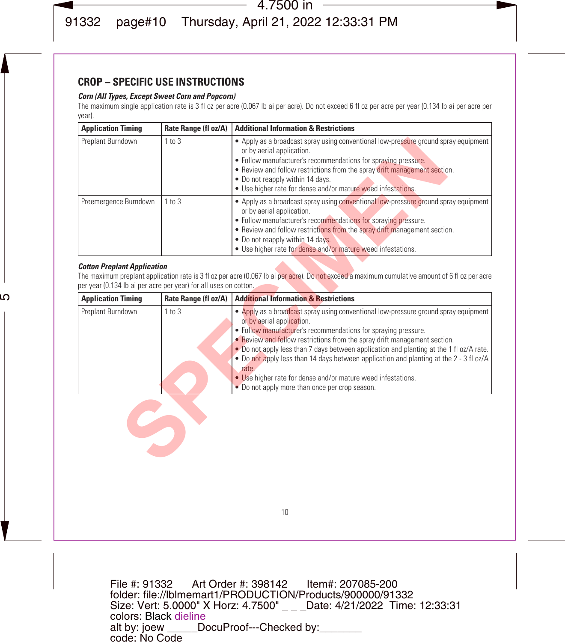## **CROP – SPECIFIC USE INSTRUCTIONS**

#### *Corn (All Types, Except Sweet Corn and Popcorn)*

The maximum single application rate is 3 fl oz per acre (0.067 lb ai per acre). Do not exceed 6 fl oz per acre per year (0.134 lb ai per acre per year).

| <b>Application Timing</b>                                                                              | Rate Range (fl oz/A) | <b>Additional Information &amp; Restrictions</b>                                                                                                                                                                                                                                                                                                                                          |
|--------------------------------------------------------------------------------------------------------|----------------------|-------------------------------------------------------------------------------------------------------------------------------------------------------------------------------------------------------------------------------------------------------------------------------------------------------------------------------------------------------------------------------------------|
| Preplant Burndown                                                                                      | $1$ to $3$           | • Apply as a broadcast spray using conventional low-pressure ground spray equipment<br>or by aerial application.<br>• Follow manufacturer's recommendations for spraying pressure.<br>• Review and follow restrictions from the spray drift management section.<br>. Do not reapply within 14 days.<br>· Use higher rate for dense and/or mature weed infestations.                       |
| Preemergence Burndown                                                                                  | $1$ to $3$           | • Apply as a broadcast spray using conventional low-pressure ground spray equipment<br>or by aerial application.<br>• Follow manufacturer's recommendations for spraying pressure.<br>• Review and follow restrictions from the spray drift management section.<br>. Do not reapply within 14 days.<br>· Use higher rate for dense and/or mature weed infestations.                       |
| <b>Cotton Preplant Application</b><br>per year (0.134 lb ai per acre per year) for all uses on cotton. |                      | The maximum preplant application rate is 3 fl oz per acre (0.067 lb ai per acre). Do not exceed a maximum cumulative amount of 6 fl oz per acre                                                                                                                                                                                                                                           |
| <b>Application Timing</b>                                                                              | Rate Range (fl oz/A) | <b>Additional Information &amp; Restrictions</b>                                                                                                                                                                                                                                                                                                                                          |
| Preplant Burndown                                                                                      | 1 to 3               | • Apply as a broadcast spray using conventional low-pressure ground spray equipment<br>or by aerial application.<br>• Follow manufacturer's recommendations for spraying pressure.                                                                                                                                                                                                        |
|                                                                                                        |                      | • Review and follow restrictions from the spray drift management section.<br>• Do not apply less than 7 days between application and planting at the 1 fl oz/A rate.<br>. Do not apply less than 14 days between application and planting at the 2 - 3 fl oz/A<br>rate.<br>• Use higher rate for dense and/or mature weed infestations.<br>• Do not apply more than once per crop season. |

#### *Cotton Preplant Application*

| <b>Application Timing</b> |            | Rate Range (fl oz/A)   Additional Information & Restrictions                                                                                                                                                                                                                                                                                                                                                                                                                                                                                                                    |
|---------------------------|------------|---------------------------------------------------------------------------------------------------------------------------------------------------------------------------------------------------------------------------------------------------------------------------------------------------------------------------------------------------------------------------------------------------------------------------------------------------------------------------------------------------------------------------------------------------------------------------------|
| Preplant Burndown         | $1$ to $3$ | • Apply as a broadcast spray using conventional low-pressure ground spray equipment<br>or by aerial application.<br>• Follow manufacturer's recommendations for spraying pressure.<br>• Review and follow restrictions from the spray drift management section.<br>. Do not apply less than 7 days between application and planting at the 1 fl oz/A rate.<br>. Do not apply less than 14 days between application and planting at the 2 - 3 fl oz/A<br>rate.<br>• Use higher rate for dense and/or mature weed infestations.<br>• Do not apply more than once per crop season. |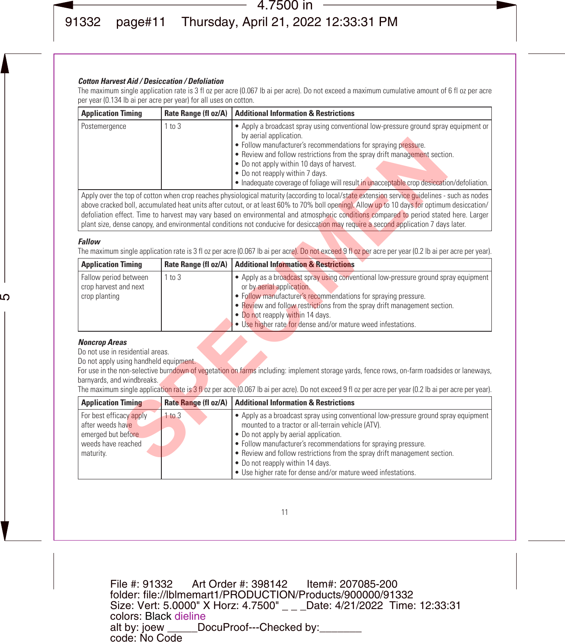#### *Cotton Harvest Aid / Desiccation / Defoliation*

The maximum single application rate is 3 fl oz per acre (0.067 lb ai per acre). Do not exceed a maximum cumulative amount of 6 fl oz per acre per year (0.134 lb ai per acre per year) for all uses on cotton.

| <b>Application Timing</b> |            | Rate Range (fl oz/A)   Additional Information & Restrictions                                                                                                                                                                                                                                                                                                                                                                               |
|---------------------------|------------|--------------------------------------------------------------------------------------------------------------------------------------------------------------------------------------------------------------------------------------------------------------------------------------------------------------------------------------------------------------------------------------------------------------------------------------------|
| Postemergence             | $1$ to $3$ | • Apply a broadcast spray using conventional low-pressure ground spray equipment or<br>by aerial application.<br>• Follow manufacturer's recommendations for spraying pressure.<br>• Review and follow restrictions from the spray drift management section.<br>. Do not apply within 10 days of harvest.<br>• Do not reapply within 7 days.<br>• Inadequate coverage of foliage will result in unacceptable crop desiccation/defoliation. |
|                           |            | $\mathbf{A}$ and a set of the contract of the set of the set of the set of the set of the set of the set of the set of the set of the set of the set of the set of the set of the set of the set of the set of the set of the set                                                                                                                                                                                                          |

#### *Fallow*

|                                                                                                                                  |                      | . Follow manufacturer's recommendations for spraying pressure.<br>• Review and follow restrictions from the spray drift management section.<br>. Do not apply within 10 days of harvest.<br>• Do not reapply within 7 days.<br>• Inadequate coverage of foliage will result in unacceptable crop desiccation/defoliation.                                                                                                                                                                                                                                                   |
|----------------------------------------------------------------------------------------------------------------------------------|----------------------|-----------------------------------------------------------------------------------------------------------------------------------------------------------------------------------------------------------------------------------------------------------------------------------------------------------------------------------------------------------------------------------------------------------------------------------------------------------------------------------------------------------------------------------------------------------------------------|
|                                                                                                                                  |                      | Apply over the top of cotton when crop reaches physiological maturity (according to local/state extension service quidelines - such as nodes<br>above cracked boll, accumulated heat units after cutout, or at least 60% to 70% boll opening). Allow up to 10 days for optimum desiccation/<br>defoliation effect. Time to harvest may vary based on environmental and atmospheric conditions compared to period stated here. Larger<br>plant size, dense canopy, and environmental conditions not conducive for desiccation may require a second application 7 days later. |
| Fallow                                                                                                                           |                      | The maximum single application rate is 3 fl oz per acre (0.067 lb ai per acre). Do not exceed 9 fl oz per acre per year (0.2 lb ai per acre per year).                                                                                                                                                                                                                                                                                                                                                                                                                      |
| <b>Application Timing</b>                                                                                                        | Rate Range (fl oz/A) | <b>Additional Information &amp; Restrictions</b>                                                                                                                                                                                                                                                                                                                                                                                                                                                                                                                            |
| Fallow period between<br>crop harvest and next<br>crop planting                                                                  | $1$ to $3$           | • Apply as a broadcast spray using conventional low-pressure ground spray equipment<br>or by aerial application.<br>• Follow manufacturer's recommendations for spraying pressure.<br>• Review and follow restrictions from the spray drift management section.<br>• Do not reapply within 14 days.<br>. Use higher rate for dense and/or mature weed infestations.                                                                                                                                                                                                         |
| <b>Noncrop Areas</b><br>Do not use in residential areas.<br>Do not apply using handheld equipment.<br>barnyards, and windbreaks. |                      | For use in the non-selective burndown of vegetation on farms including: implement storage yards, fence rows, on-farm roadsides or laneways,<br>The maximum single application rate is 3 fl oz per acre (0.067 lb ai per acre). Do not exceed 9 fl oz per acre per year (0.2 lb ai per acre per year).                                                                                                                                                                                                                                                                       |
| <b>Application Timing</b>                                                                                                        |                      | Rate Range (fl oz/A)   Additional Information & Restrictions                                                                                                                                                                                                                                                                                                                                                                                                                                                                                                                |
| For best efficacy apply<br>after weeds have<br>emerged but before<br>weeds have reached<br>maturity.                             | $1$ to $3$           | • Apply as a broadcast spray using conventional low-pressure ground spray equipment<br>mounted to a tractor or all-terrain vehicle (ATV).<br>• Do not apply by aerial application.<br>• Follow manufacturer's recommendations for spraying pressure.<br>• Review and follow restrictions from the spray drift management section.<br>• Do not reapply within 14 days.                                                                                                                                                                                                       |

#### *Noncrop Areas*

| <b>Application Timing</b>                                                                            |            | Rate Range (fl oz/A)   Additional Information & Restrictions                                                                                                                                                                                                                                                                                                                                                                          |
|------------------------------------------------------------------------------------------------------|------------|---------------------------------------------------------------------------------------------------------------------------------------------------------------------------------------------------------------------------------------------------------------------------------------------------------------------------------------------------------------------------------------------------------------------------------------|
| For best efficacy apply<br>after weeds have<br>emerged but before<br>weeds have reached<br>maturity. | $1$ to $3$ | • Apply as a broadcast spray using conventional low-pressure ground spray equipment<br>mounted to a tractor or all-terrain vehicle (ATV).<br>• Do not apply by aerial application.<br>• Follow manufacturer's recommendations for spraying pressure.<br>• Review and follow restrictions from the spray drift management section.<br>• Do not reapply within 14 days.<br>• Use higher rate for dense and/or mature weed infestations. |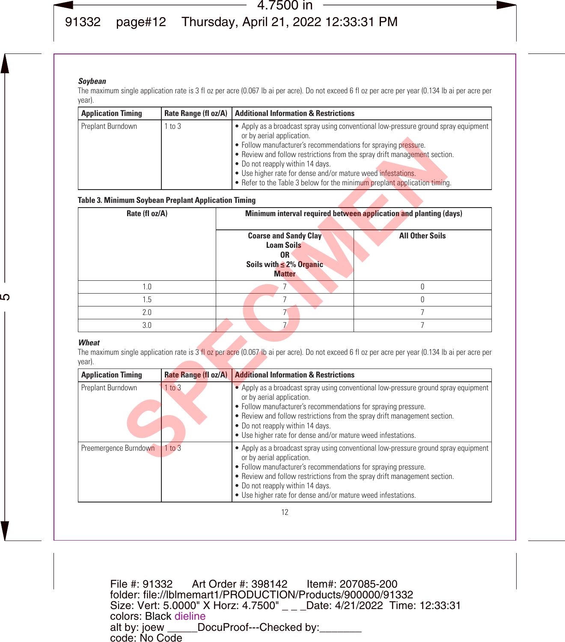#### *Soybean*

The maximum single application rate is 3 fl oz per acre (0.067 lb ai per acre). Do not exceed 6 fl oz per acre per year (0.134 lb ai per acre per year).

| <b>Application Timing</b> |            | Rate Range (fl oz/A)   Additional Information & Restrictions                                                                                                                                                                                                                                                                                                                                                                                     |
|---------------------------|------------|--------------------------------------------------------------------------------------------------------------------------------------------------------------------------------------------------------------------------------------------------------------------------------------------------------------------------------------------------------------------------------------------------------------------------------------------------|
| Preplant Burndown         | $1$ to $3$ | • Apply as a broadcast spray using conventional low-pressure ground spray equipment<br>or by aerial application.<br>• Follow manufacturer's recommendations for spraying pressure.<br>• Review and follow restrictions from the spray drift management section.<br>• Do not reapply within 14 days.<br>• Use higher rate for dense and/or mature weed infestations.<br>• Refer to the Table 3 below for the minimum preplant application timing. |

#### **Table 3. Minimum Soybean Preplant Application Timing**

|                                                      |                      | . Follow manufacturer's recommendations for spraying pressure.<br>• Review and follow restrictions from the spray drift management section.<br>. Do not reapply within 14 days.<br>· Use higher rate for dense and/or mature weed infestations.<br>• Refer to the Table 3 below for the minimum preplant application timing.                                        |                                                                                                                                                   |
|------------------------------------------------------|----------------------|---------------------------------------------------------------------------------------------------------------------------------------------------------------------------------------------------------------------------------------------------------------------------------------------------------------------------------------------------------------------|---------------------------------------------------------------------------------------------------------------------------------------------------|
| Table 3. Minimum Soybean Preplant Application Timing |                      |                                                                                                                                                                                                                                                                                                                                                                     |                                                                                                                                                   |
| Rate (fl oz/A)                                       |                      |                                                                                                                                                                                                                                                                                                                                                                     | Minimum interval required between application and planting (days)                                                                                 |
|                                                      |                      | <b>Coarse and Sandy Clay</b><br><b>Loam Soils</b><br>0R<br>Soils with $\leq$ 2% Organic<br><b>Matter</b>                                                                                                                                                                                                                                                            | <b>All Other Soils</b>                                                                                                                            |
| 1.0                                                  |                      | 7                                                                                                                                                                                                                                                                                                                                                                   | $\Omega$                                                                                                                                          |
| 1.5                                                  |                      | $\overline{7}$                                                                                                                                                                                                                                                                                                                                                      | $\Omega$                                                                                                                                          |
| 2.0                                                  |                      | 7                                                                                                                                                                                                                                                                                                                                                                   | $\overline{7}$                                                                                                                                    |
| 3.0                                                  |                      | 7.                                                                                                                                                                                                                                                                                                                                                                  | $\overline{7}$                                                                                                                                    |
| Wheat<br>vear).                                      |                      |                                                                                                                                                                                                                                                                                                                                                                     | The maximum single application rate is 3 fl oz per acre (0.067 lb ai per acre). Do not exceed 6 fl oz per acre per year (0.134 lb ai per acre per |
| <b>Application Timing</b>                            | Rate Range (fl oz/A) | <b>Additional Information &amp; Restrictions</b>                                                                                                                                                                                                                                                                                                                    |                                                                                                                                                   |
| Preplant Burndown                                    | 1 to 3               | • Apply as a broadcast spray using conventional low-pressure ground spray equipment<br>or by aerial application.<br>· Follow manufacturer's recommendations for spraying pressure.<br>• Review and follow restrictions from the spray drift management section.<br>. Do not reapply within 14 days.<br>• Use higher rate for dense and/or mature weed infestations. |                                                                                                                                                   |
| Preemergence Burndown                                | 1 to 3               | or by aerial application.<br>Full comment of continuation                                                                                                                                                                                                                                                                                                           | • Apply as a broadcast spray using conventional low-pressure ground spray equipment                                                               |

#### *Wheat*

| <b>Application Timing</b> | Rate Range (fl oz/A) | <b>Additional Information &amp; Restrictions</b>                                                                                                                                                                                                                                                                                                                    |
|---------------------------|----------------------|---------------------------------------------------------------------------------------------------------------------------------------------------------------------------------------------------------------------------------------------------------------------------------------------------------------------------------------------------------------------|
| Preplant Burndown         | 1 to 3               | • Apply as a broadcast spray using conventional low-pressure ground spray equipment<br>or by aerial application.<br>• Follow manufacturer's recommendations for spraying pressure.<br>• Review and follow restrictions from the spray drift management section.<br>. Do not reapply within 14 days.<br>• Use higher rate for dense and/or mature weed infestations. |
| Preemergence Burndown     | $1$ to $3$           | . Apply as a broadcast spray using conventional low-pressure ground spray equipment<br>or by aerial application.<br>• Follow manufacturer's recommendations for spraying pressure.<br>• Review and follow restrictions from the spray drift management section.<br>• Do not reapply within 14 days.<br>• Use higher rate for dense and/or mature weed infestations. |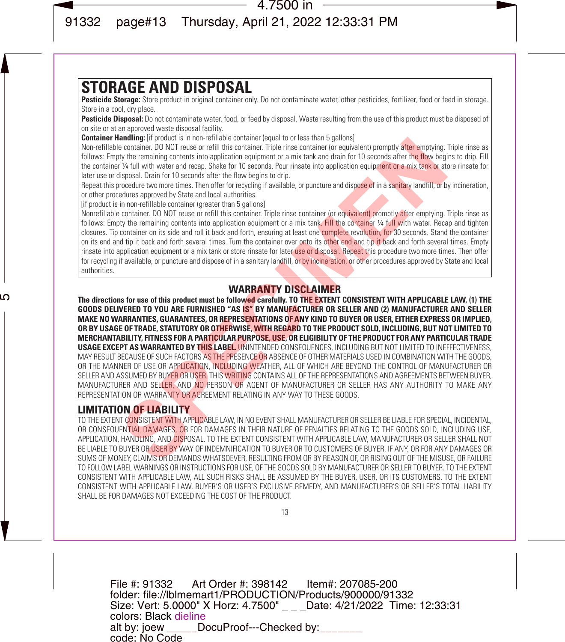# **STORAGE AND DISPOSAL**

Pesticide Storage: Store product in original container only. Do not contaminate water, other pesticides, fertilizer, food or feed in storage. Store in a cool, dry place.

Pesticide Disposal: Do not contaminate water, food, or feed by disposal. Waste resulting from the use of this product must be disposed of on site or at an approved waste disposal facility.

**Container Handling:** [if product is in non-refillable container (equal to or less than 5 gallons)

Non-refillable container. DO NOT reuse or refill this container. Triple rinse container (or equivalent) promptly after emptying. Triple rinse as follows: Empty the remaining contents into application equipment or a mix tank and drain for 10 seconds after the flow begins to drip. Fill the container ¼ full with water and recap. Shake for 10 seconds. Pour rinsate into application equipment or a mix tank or store rinsate for later use or disposal. Drain for 10 seconds after the flow begins to drip.

Repeat this procedure two more times. Then offer for recycling if available, or puncture and dispose of in a sanitary landfill, or by incineration, or other procedures approved by State and local authorities.

[if product is in non-refillable container (greater than 5 gallons]

Nonrefillable container. DO NOT reuse or refill this container. Triple rinse container (or equivalent) promptly after emptying. Triple rinse as follows: Empty the remaining contents into application equipment or a mix tank. Fill the container ¼ full with water. Recap and tighten closures. Tip container on its side and roll it back and forth, ensuring at least one complete revolution, for 30 seconds. Stand the container on its end and tip it back and forth several times. Turn the container over onto its other end and tip it back and forth several times. Empty rinsate into application equipment or a mix tank or store rinsate for later use or disposal. Repeat this procedure two more times. Then offer for recycling if available, or puncture and dispose of in a sanitary landfill, or by incineration, or other procedures approved by State and local authorities.

## WARRANTY DISCLAIMER

**The directions for use of this product must be followed carefully. TO THE EXTENT CONSISTENT WITH APPLICABLE LAW, (1) THE GOODS DELIVERED TO YOU ARE FURNISHED "AS IS" BY MANUFACTURER OR SELLER AND (2) MANUFACTURER AND SELLER MAKE NO WARRANTIES, GUARANTEES, OR REPRESENTATIONS OF ANY KIND TO BUYER OR USER, EITHER EXPRESS OR IMPLIED, OR BY USAGE OF TRADE, STATUTORY OR OTHERWISE, WITH REGARD TO THE PRODUCT SOLD, INCLUDING, BUT NOT LIMITED TO MERCHANTABILITY, FITNESS FOR A PARTICULAR PURPOSE, USE, OR ELIGIBILITY OF THE PRODUCT FOR ANY PARTICULAR TRADE USAGE EXCEPT AS WARRANTED BY THIS LABEL.** UNINTENDED CONSEQUENCES, INCLUDING BUT NOT LIMITED TO INEFFECTIVENESS, MAY RESULT BECAUSE OF SUCH FACTORS AS THE PRESENCE OR ABSENCE OF OTHER MATERIALS USED IN COMBINATION WITH THE GOODS. OR THE MANNER OF USE OR APPLICATION, INCLUDING WEATHER, ALL OF WHICH ARE BEYOND THE CONTROL OF MANUFACTURER OR SELLER AND ASSUMED BY BUYER OR USER. THIS WRITING CONTAINS ALL OF THE REPRESENTATIONS AND AGREEMENTS BETWEEN BUYER. MANUFACTURER AND SELLER, AND NO PERSON OR AGENT OF MANUFACTURER OR SELLER HAS ANY AUTHORITY TO MAKE ANY REPRESENTATION OR WARRANTY OR AGREEMENT RELATING IN ANY WAY TO THESE GOODS. **EVIDENCION**: IN THOTENTIABLE CONTINUES IN THE RESTONCE TO THE CONTINUES WITHOUT AND CONTROLLY OF THE PROPERTION OF THE PROPERTION OF THE PROPERTION OF THE PROPERTION OF THE PROPERTION OF THE PROPERTION OF THE PROPERTION O

## **LIMITATION OF LIABILITY**

TO THE EXTENT CONSISTENT WITH APPLICABLE LAW, IN NO EVENT SHALL MANUFACTURER OR SELLER BE LIABLE FOR SPECIAL, INCIDENTAL, OR CONSEQUENTIAL DAMAGES, OR FOR DAMAGES IN THEIR NATURE OF PENALTIES RELATING TO THE GOODS SOLD, INCLUDING USE, APPLICATION, HANDLING, AND DISPOSAL. TO THE EXTENT CONSISTENT WITH APPLICABLE LAW, MANUFACTURER OR SELLER SHALL NOT BE LIABLE TO BUYER OR USER BY WAY OF INDEMNIFICATION TO BUYER OR TO CUSTOMERS OF BUYER, IF ANY, OR FOR ANY DAMAGES OR SUMS OF MONEY, CLAIMS OR DEMANDS WHATSOEVER, RESULTING FROM OR BY REASON OF, OR RISING OUT OF THE MISUSE, OR FAILURE TO FOLLOW LABEL WARNINGS OR INSTRUCTIONS FOR USE, OF THE GOODS SOLD BY MANUFACTURER OR SELLER TO BUYER. TO THE EXTENT CONSISTENT WITH APPLICABLE LAW, ALL SUCH RISKS SHALL BE ASSUMED BY THE BUYER, USER, OR ITS CUSTOMERS. TO THE EXTENT CONSISTENT WITH APPLICABLE LAW, BUYER'S OR USER'S EXCLUSIVE REMEDY, AND MANUFACTURER'S OR SELLER'S TOTAL LIABILITY SHALL BE FOR DAMAGES NOT EXCEEDING THE COST OF THE PRODUCT.